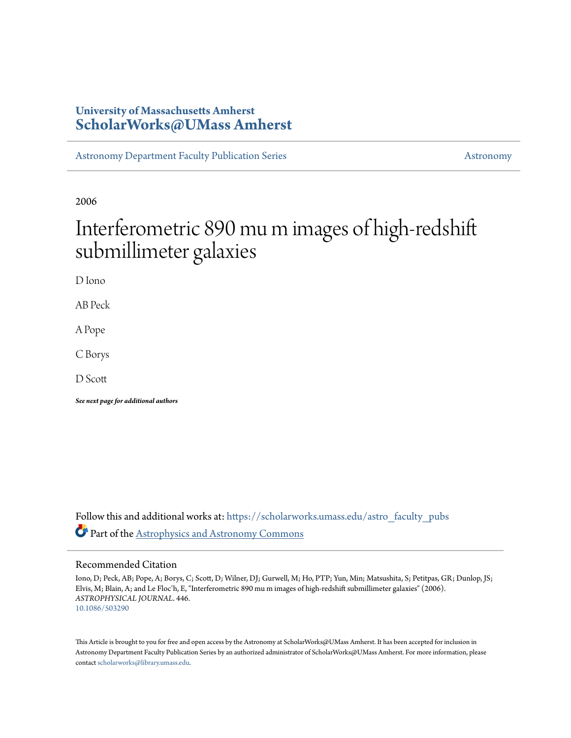### **University of Massachusetts Amherst [ScholarWorks@UMass Amherst](https://scholarworks.umass.edu?utm_source=scholarworks.umass.edu%2Fastro_faculty_pubs%2F446&utm_medium=PDF&utm_campaign=PDFCoverPages)**

[Astronomy Department Faculty Publication Series](https://scholarworks.umass.edu/astro_faculty_pubs?utm_source=scholarworks.umass.edu%2Fastro_faculty_pubs%2F446&utm_medium=PDF&utm_campaign=PDFCoverPages) [Astronomy](https://scholarworks.umass.edu/astro?utm_source=scholarworks.umass.edu%2Fastro_faculty_pubs%2F446&utm_medium=PDF&utm_campaign=PDFCoverPages)

2006

# Interferometric 890 mu m images of high-redshift submillimeter galaxies

D Iono

AB Peck

A Pope

C Borys

D Scott

*See next page for additional authors*

Follow this and additional works at: [https://scholarworks.umass.edu/astro\\_faculty\\_pubs](https://scholarworks.umass.edu/astro_faculty_pubs?utm_source=scholarworks.umass.edu%2Fastro_faculty_pubs%2F446&utm_medium=PDF&utm_campaign=PDFCoverPages) Part of the [Astrophysics and Astronomy Commons](http://network.bepress.com/hgg/discipline/123?utm_source=scholarworks.umass.edu%2Fastro_faculty_pubs%2F446&utm_medium=PDF&utm_campaign=PDFCoverPages)

#### Recommended Citation

Iono, D; Peck, AB; Pope, A; Borys, C; Scott, D; Wilner, DJ; Gurwell, M; Ho, PTP; Yun, Min; Matsushita, S; Petitpas, GR; Dunlop, JS; Elvis, M; Blain, A; and Le Floc'h, E, "Interferometric 890 mu m images of high-redshift submillimeter galaxies" (2006). *ASTROPHYSICAL JOURNAL*. 446. <10.1086/503290>

This Article is brought to you for free and open access by the Astronomy at ScholarWorks@UMass Amherst. It has been accepted for inclusion in Astronomy Department Faculty Publication Series by an authorized administrator of ScholarWorks@UMass Amherst. For more information, please contact [scholarworks@library.umass.edu](mailto:scholarworks@library.umass.edu).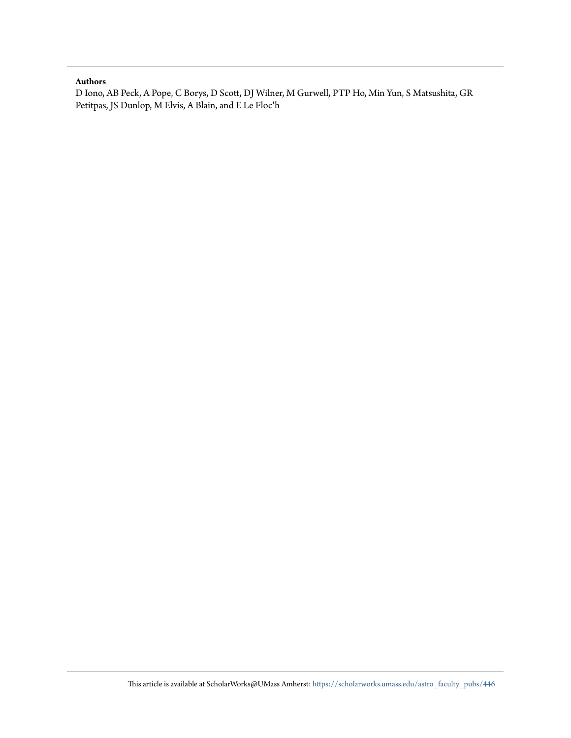#### **Authors**

D Iono, AB Peck, A Pope, C Borys, D Scott, DJ Wilner, M Gurwell, PTP Ho, Min Yun, S Matsushita, GR Petitpas, JS Dunlop, M Elvis, A Blain, and E Le Floc'h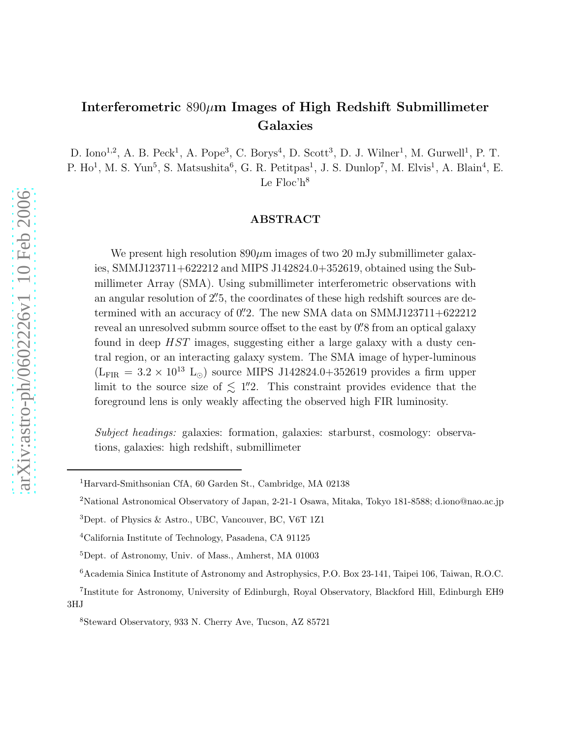## Interferometric  $890\mu$ m Images of High Redshift Submillimeter Galaxies

D. Iono<sup>1,2</sup>, A. B. Peck<sup>1</sup>, A. Pope<sup>3</sup>, C. Borys<sup>4</sup>, D. Scott<sup>3</sup>, D. J. Wilner<sup>1</sup>, M. Gurwell<sup>1</sup>, P. T. P. Ho<sup>1</sup>, M. S. Yun<sup>5</sup>, S. Matsushita<sup>6</sup>, G. R. Petitpas<sup>1</sup>, J. S. Dunlop<sup>7</sup>, M. Elvis<sup>1</sup>, A. Blain<sup>4</sup>, E. Le  $Floc'h<sup>8</sup>$ 

#### ABSTRACT

We present high resolution  $890\mu$ m images of two 20 mJy submillimeter galaxies, SMMJ123711+622212 and MIPS J142824.0+352619, obtained using the Submillimeter Array (SMA). Using submillimeter interferometric observations with an angular resolution of 2''.5, the coordinates of these high redshift sources are determined with an accuracy of 0. The new SMA data on SMMJ123711+622212 reveal an unresolved submm source offset to the east by  $0\rlap{.}^{\prime\prime}8$  from an optical galaxy found in deep HST images, suggesting either a large galaxy with a dusty central region, or an interacting galaxy system. The SMA image of hyper-luminous  $(L_{\text{FIR}} = 3.2 \times 10^{13} \text{ L}_{\odot})$  source MIPS J142824.0+352619 provides a firm upper limit to the source size of  $\leq 1\rlap{.}''2$ . This constraint provides evidence that the foreground lens is only weakly affecting the observed high FIR luminosity.

Subject headings: galaxies: formation, galaxies: starburst, cosmology: observations, galaxies: high redshift, submillimeter

<sup>1</sup>Harvard-Smithsonian CfA, 60 Garden St., Cambridge, MA 02138

<sup>2</sup>National Astronomical Observatory of Japan, 2-21-1 Osawa, Mitaka, Tokyo 181-8588; d.iono@nao.ac.jp

<sup>3</sup>Dept. of Physics & Astro., UBC, Vancouver, BC, V6T 1Z1

<sup>4</sup>California Institute of Technology, Pasadena, CA 91125

<sup>5</sup>Dept. of Astronomy, Univ. of Mass., Amherst, MA 01003

<sup>6</sup>Academia Sinica Institute of Astronomy and Astrophysics, P.O. Box 23-141, Taipei 106, Taiwan, R.O.C.

<sup>7</sup> Institute for Astronomy, University of Edinburgh, Royal Observatory, Blackford Hill, Edinburgh EH9 3HJ

<sup>8</sup>Steward Observatory, 933 N. Cherry Ave, Tucson, AZ 85721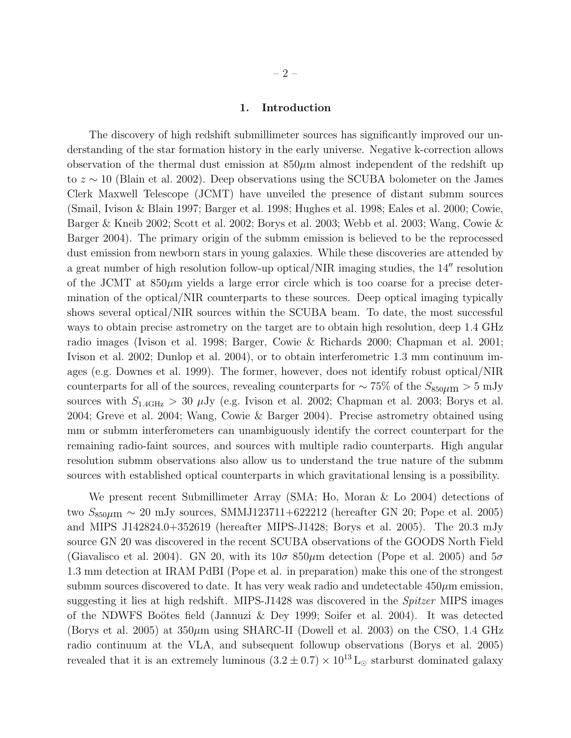#### 1. Introduction

The discovery of high redshift submillimeter sources has significantly improved our understanding of the star formation history in the early universe. Negative k-correction allows observation of the thermal dust emission at  $850\mu$ m almost independent of the redshift up to z ∼ 10 (Blain et al. 2002). Deep observations using the SCUBA bolometer on the James Clerk Maxwell Telescope (JCMT) have unveiled the presence of distant submm sources (Smail, Ivison & Blain 1997; Barger et al. 1998; Hughes et al. 1998; Eales et al. 2000; Cowie, Barger & Kneib 2002; Scott et al. 2002; Borys et al. 2003; Webb et al. 2003; Wang, Cowie & Barger 2004). The primary origin of the submm emission is believed to be the reprocessed dust emission from newborn stars in young galaxies. While these discoveries are attended by a great number of high resolution follow-up optical/NIR imaging studies, the 14′′ resolution of the JCMT at  $850\mu m$  yields a large error circle which is too coarse for a precise determination of the optical/NIR counterparts to these sources. Deep optical imaging typically shows several optical/NIR sources within the SCUBA beam. To date, the most successful ways to obtain precise astrometry on the target are to obtain high resolution, deep 1.4 GHz radio images (Ivison et al. 1998; Barger, Cowie & Richards 2000; Chapman et al. 2001; Ivison et al. 2002; Dunlop et al. 2004), or to obtain interferometric 1.3 mm continuum images (e.g. Downes et al. 1999). The former, however, does not identify robust optical/NIR counterparts for all of the sources, revealing counterparts for  $\sim 75\%$  of the  $S_{850\mu\rm m} > 5 \,\rm mJy$ sources with  $S_{1.4\text{GHz}} > 30 \mu \text{Jy}$  (e.g. Ivison et al. 2002; Chapman et al. 2003; Borys et al. 2004; Greve et al. 2004; Wang, Cowie & Barger 2004). Precise astrometry obtained using mm or submm interferometers can unambiguously identify the correct counterpart for the remaining radio-faint sources, and sources with multiple radio counterparts. High angular resolution submm observations also allow us to understand the true nature of the submm sources with established optical counterparts in which gravitational lensing is a possibility.

We present recent Submillimeter Array (SMA; Ho, Moran & Lo 2004) detections of two  $S_{850\mu m}$  ~ 20 mJy sources, SMMJ123711+622212 (hereafter GN 20; Pope et al. 2005) and MIPS J142824.0+352619 (hereafter MIPS-J1428; Borys et al. 2005). The 20.3 mJy source GN 20 was discovered in the recent SCUBA observations of the GOODS North Field (Giavalisco et al. 2004). GN 20, with its  $10\sigma 850\mu$ m detection (Pope et al. 2005) and  $5\sigma$ 1.3 mm detection at IRAM PdBI (Pope et al. in preparation) make this one of the strongest submm sources discovered to date. It has very weak radio and undetectable  $450\mu$ m emission, suggesting it lies at high redshift. MIPS-J1428 was discovered in the Spitzer MIPS images of the NDWFS Boötes field (Jannuzi & Dey 1999; Soifer et al. 2004). It was detected (Borys et al. 2005) at  $350\mu$ m using SHARC-II (Dowell et al. 2003) on the CSO, 1.4 GHz radio continuum at the VLA, and subsequent followup observations (Borys et al. 2005) revealed that it is an extremely luminous  $(3.2 \pm 0.7) \times 10^{13}$  L<sub>☉</sub> starburst dominated galaxy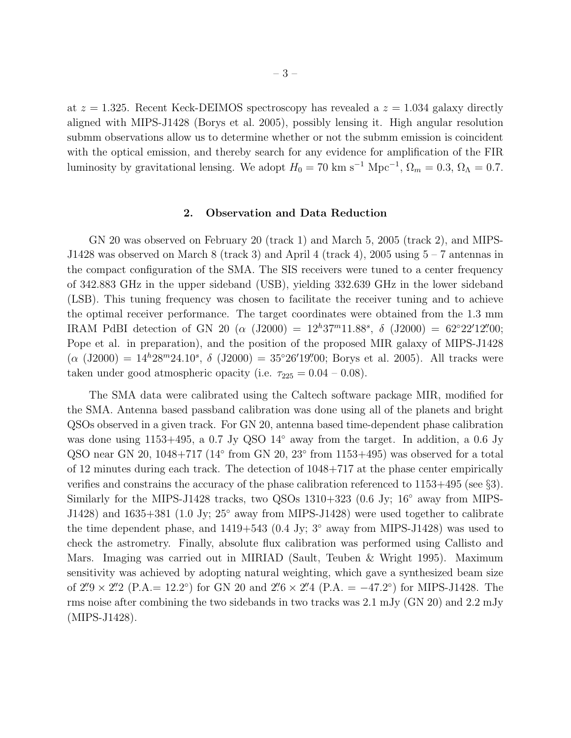at  $z = 1.325$ . Recent Keck-DEIMOS spectroscopy has revealed a  $z = 1.034$  galaxy directly aligned with MIPS-J1428 (Borys et al. 2005), possibly lensing it. High angular resolution submm observations allow us to determine whether or not the submm emission is coincident with the optical emission, and thereby search for any evidence for amplification of the FIR luminosity by gravitational lensing. We adopt  $H_0 = 70 \text{ km s}^{-1} \text{ Mpc}^{-1}$ ,  $\Omega_m = 0.3$ ,  $\Omega_{\Lambda} = 0.7$ .

#### 2. Observation and Data Reduction

GN 20 was observed on February 20 (track 1) and March 5, 2005 (track 2), and MIPS-J1428 was observed on March 8 (track 3) and April 4 (track 4), 2005 using 5 – 7 antennas in the compact configuration of the SMA. The SIS receivers were tuned to a center frequency of 342.883 GHz in the upper sideband (USB), yielding 332.639 GHz in the lower sideband (LSB). This tuning frequency was chosen to facilitate the receiver tuning and to achieve the optimal receiver performance. The target coordinates were obtained from the 1.3 mm IRAM PdBI detection of GN 20 ( $\alpha$  (J2000) =  $12^h37^m11.88^s$ ,  $\delta$  (J2000) =  $62^{\circ}22'12''200$ ; Pope et al. in preparation), and the position of the proposed MIR galaxy of MIPS-J1428  $(\alpha$  (J2000) = 14<sup>h</sup>28<sup>m</sup>24.10<sup>s</sup>,  $\delta$  (J2000) = 35°26'19".00; Borys et al. 2005). All tracks were taken under good atmospheric opacity (i.e.  $\tau_{225} = 0.04 - 0.08$ ).

The SMA data were calibrated using the Caltech software package MIR, modified for the SMA. Antenna based passband calibration was done using all of the planets and bright QSOs observed in a given track. For GN 20, antenna based time-dependent phase calibration was done using 1153+495, a 0.7 Jy QSO 14<sup>°</sup> away from the target. In addition, a 0.6 Jy QSO near GN 20,  $1048+717$  ( $14°$  from GN 20,  $23°$  from  $1153+495$ ) was observed for a total of 12 minutes during each track. The detection of 1048+717 at the phase center empirically verifies and constrains the accuracy of the phase calibration referenced to 1153+495 (see §3). Similarly for the MIPS-J1428 tracks, two QSOs 1310+323 (0.6 Jy; 16° away from MIPS-J1428) and 1635+381 (1.0 Jy; 25◦ away from MIPS-J1428) were used together to calibrate the time dependent phase, and  $1419+543$  (0.4 Jy; 3 $\degree$  away from MIPS-J1428) was used to check the astrometry. Finally, absolute flux calibration was performed using Callisto and Mars. Imaging was carried out in MIRIAD (Sault, Teuben & Wright 1995). Maximum sensitivity was achieved by adopting natural weighting, which gave a synthesized beam size of  $2\overset{\prime\prime}{.}9 \times 2\overset{\prime\prime}{.}2$  (P.A. = 12.2°) for GN 20 and  $2\overset{\prime\prime}{.}6 \times 2\overset{\prime\prime}{.}4$  (P.A. = -47.2°) for MIPS-J1428. The rms noise after combining the two sidebands in two tracks was 2.1 mJy (GN 20) and 2.2 mJy (MIPS-J1428).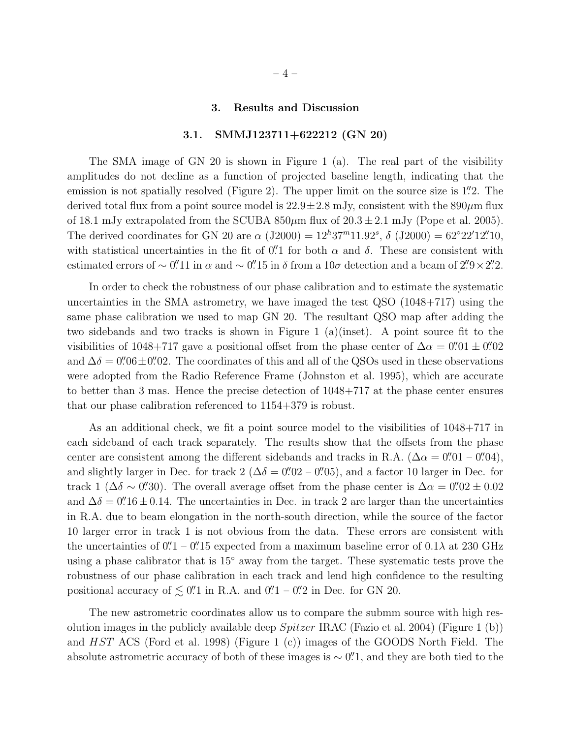#### 3. Results and Discussion

#### 3.1. SMMJ123711+622212 (GN 20)

The SMA image of GN 20 is shown in Figure 1 (a). The real part of the visibility amplitudes do not decline as a function of projected baseline length, indicating that the emission is not spatially resolved (Figure 2). The upper limit on the source size is 1.'2. The derived total flux from a point source model is  $22.9 \pm 2.8$  mJy, consistent with the  $890 \mu m$  flux of 18.1 mJy extrapolated from the SCUBA  $850\mu$ m flux of  $20.3 \pm 2.1$  mJy (Pope et al. 2005). The derived coordinates for GN 20 are  $\alpha$  (J2000) =  $12^h37^m11.92^s$ ,  $\delta$  (J2000) =  $62^{\circ}22'12''10$ , with statistical uncertainties in the fit of  $0''$  for both  $\alpha$  and  $\delta$ . These are consistent with estimated errors of ~ 0'.'11 in  $\alpha$  and ~ 0'.'15 in  $\delta$  from a 10 $\sigma$  detection and a beam of 2'.'9 × 2'.'2.

In order to check the robustness of our phase calibration and to estimate the systematic uncertainties in the SMA astrometry, we have imaged the test QSO (1048+717) using the same phase calibration we used to map GN 20. The resultant QSO map after adding the two sidebands and two tracks is shown in Figure 1 (a)(inset). A point source fit to the visibilities of 1048+717 gave a positional offset from the phase center of  $\Delta \alpha = 0''$ .  $01 \pm 0''$ . and  $\Delta\delta = 0\rlap{.}^{\prime\prime}06 \pm 0\rlap{.}^{\prime\prime}02$ . The coordinates of this and all of the QSOs used in these observations were adopted from the Radio Reference Frame (Johnston et al. 1995), which are accurate to better than 3 mas. Hence the precise detection of 1048+717 at the phase center ensures that our phase calibration referenced to 1154+379 is robust.

As an additional check, we fit a point source model to the visibilities of 1048+717 in each sideband of each track separately. The results show that the offsets from the phase center are consistent among the different sidebands and tracks in R.A. ( $\Delta \alpha = 0''01 - 0''04$ ), and slightly larger in Dec. for track  $2 (\Delta \delta = 0''02 - 0''05)$ , and a factor 10 larger in Dec. for track 1 ( $\Delta \delta \sim 0$ ''.30). The overall average offset from the phase center is  $\Delta \alpha = 0$ ''.02 ± 0.02 and  $\Delta\delta = 0$ . 16 ± 0.14. The uncertainties in Dec. in track 2 are larger than the uncertainties in R.A. due to beam elongation in the north-south direction, while the source of the factor 10 larger error in track 1 is not obvious from the data. These errors are consistent with the uncertainties of  $0''\ll1-0''\ll15$  expected from a maximum baseline error of  $0.1\lambda$  at 230 GHz using a phase calibrator that is 15◦ away from the target. These systematic tests prove the robustness of our phase calibration in each track and lend high confidence to the resulting positional accuracy of  $\lesssim 0$ . in R.A. and  $0$ .  $1 - 0$ . in Dec. for GN 20.

The new astrometric coordinates allow us to compare the submm source with high resolution images in the publicly available deep  $Spitzer \, IRAC$  (Fazio et al. 2004) (Figure 1 (b)) and HST ACS (Ford et al. 1998) (Figure 1 (c)) images of the GOODS North Field. The absolute astrometric accuracy of both of these images is  $\sim$  0". The analytic of the the to the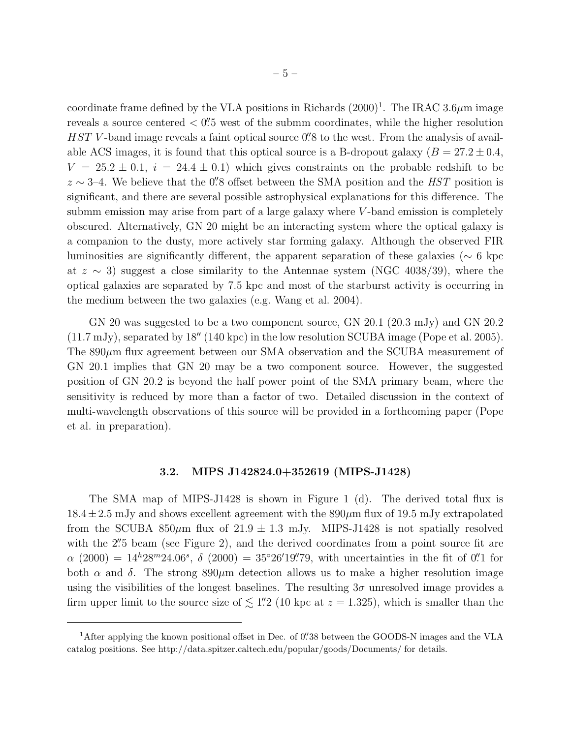coordinate frame defined by the VLA positions in Richards  $(2000)^{1}$ . The IRAC 3.6 $\mu$ m image reveals a source centered  $\langle 0.25 \rangle$  west of the submm coordinates, while the higher resolution  $HST$  V-band image reveals a faint optical source  $0''8$  to the west. From the analysis of available ACS images, it is found that this optical source is a B-dropout galaxy  $(B = 27.2 \pm 0.4,$  $V = 25.2 \pm 0.1$ ,  $i = 24.4 \pm 0.1$ ) which gives constraints on the probable redshift to be  $z \sim 3-4$ . We believe that the 0''.8 offset between the SMA position and the HST position is significant, and there are several possible astrophysical explanations for this difference. The submm emission may arise from part of a large galaxy where  $V$ -band emission is completely obscured. Alternatively, GN 20 might be an interacting system where the optical galaxy is a companion to the dusty, more actively star forming galaxy. Although the observed FIR luminosities are significantly different, the apparent separation of these galaxies (∼ 6 kpc at  $z \sim 3$ ) suggest a close similarity to the Antennae system (NGC 4038/39), where the optical galaxies are separated by 7.5 kpc and most of the starburst activity is occurring in the medium between the two galaxies (e.g. Wang et al. 2004).

GN 20 was suggested to be a two component source, GN 20.1 (20.3 mJy) and GN 20.2 (11.7 mJy), separated by 18′′ (140 kpc) in the low resolution SCUBA image (Pope et al. 2005). The  $890\mu$ m flux agreement between our SMA observation and the SCUBA measurement of GN 20.1 implies that GN 20 may be a two component source. However, the suggested position of GN 20.2 is beyond the half power point of the SMA primary beam, where the sensitivity is reduced by more than a factor of two. Detailed discussion in the context of multi-wavelength observations of this source will be provided in a forthcoming paper (Pope et al. in preparation).

#### 3.2. MIPS J142824.0+352619 (MIPS-J1428)

The SMA map of MIPS-J1428 is shown in Figure 1 (d). The derived total flux is  $18.4 \pm 2.5$  mJy and shows excellent agreement with the  $890 \mu m$  flux of 19.5 mJy extrapolated from the SCUBA 850 $\mu$ m flux of 21.9  $\pm$  1.3 mJy. MIPS-J1428 is not spatially resolved with the 2".5 beam (see Figure 2), and the derived coordinates from a point source fit are  $\alpha$  (2000) = 14<sup>h</sup>28<sup>m</sup>24.06<sup>s</sup>,  $\delta$  (2000) = 35°26'19". The uncertainties in the fit of 0". 1 for both  $\alpha$  and  $\delta$ . The strong 890 $\mu$ m detection allows us to make a higher resolution image using the visibilities of the longest baselines. The resulting  $3\sigma$  unresolved image provides a firm upper limit to the source size of  $\lesssim$  1. 1.22 (10 kpc at  $z = 1.325$ ), which is smaller than the

<sup>&</sup>lt;sup>1</sup>After applying the known positional offset in Dec. of 0. 38 between the GOODS-N images and the VLA catalog positions. See http://data.spitzer.caltech.edu/popular/goods/Documents/ for details.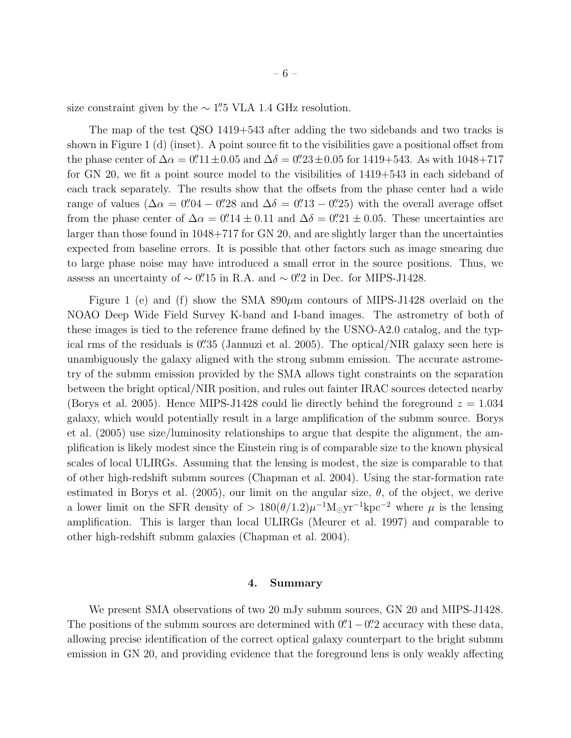size constraint given by the  $\sim$  1".5 VLA 1.4 GHz resolution.

The map of the test QSO 1419+543 after adding the two sidebands and two tracks is shown in Figure 1 (d) (inset). A point source fit to the visibilities gave a positional offset from the phase center of  $\Delta \alpha = 0''.11 \pm 0.05$  and  $\Delta \delta = 0''.23 \pm 0.05$  for 1419+543. As with 1048+717 for GN 20, we fit a point source model to the visibilities of 1419+543 in each sideband of each track separately. The results show that the offsets from the phase center had a wide range of values ( $\Delta \alpha = 0$ ''.04 – 0''.28 and  $\Delta \delta = 0$ ''.13 – 0''.25) with the overall average offset from the phase center of  $\Delta \alpha = 0$ .'' $14 \pm 0.11$  and  $\Delta \delta = 0$ .'' $21 \pm 0.05$ . These uncertainties are larger than those found in 1048+717 for GN 20, and are slightly larger than the uncertainties expected from baseline errors. It is possible that other factors such as image smearing due to large phase noise may have introduced a small error in the source positions. Thus, we assess an uncertainty of  $\sim$  0". 15 in R.A. and  $\sim$  0". 2 in Dec. for MIPS-J1428.

Figure 1 (e) and (f) show the SMA  $890\mu$ m contours of MIPS-J1428 overlaid on the NOAO Deep Wide Field Survey K-band and I-band images. The astrometry of both of these images is tied to the reference frame defined by the USNO-A2.0 catalog, and the typical rms of the residuals is  $0.^{\prime\prime}35$  (Jannuzi et al. 2005). The optical/NIR galaxy seen here is unambiguously the galaxy aligned with the strong submm emission. The accurate astrometry of the submm emission provided by the SMA allows tight constraints on the separation between the bright optical/NIR position, and rules out fainter IRAC sources detected nearby (Borys et al. 2005). Hence MIPS-J1428 could lie directly behind the foreground  $z = 1.034$ galaxy, which would potentially result in a large amplification of the submm source. Borys et al. (2005) use size/luminosity relationships to argue that despite the alignment, the amplification is likely modest since the Einstein ring is of comparable size to the known physical scales of local ULIRGs. Assuming that the lensing is modest, the size is comparable to that of other high-redshift submm sources (Chapman et al. 2004). Using the star-formation rate estimated in Borys et al. (2005), our limit on the angular size,  $\theta$ , of the object, we derive a lower limit on the SFR density of >  $180(\theta/1.2)\mu^{-1}M_{\odot}yr^{-1}kpc^{-2}$  where  $\mu$  is the lensing amplification. This is larger than local ULIRGs (Meurer et al. 1997) and comparable to other high-redshift submm galaxies (Chapman et al. 2004).

#### 4. Summary

We present SMA observations of two 20 mJy submm sources, GN 20 and MIPS-J1428. The positions of the submm sources are determined with  $0''-1$  -  $0''-2$  accuracy with these data, allowing precise identification of the correct optical galaxy counterpart to the bright submm emission in GN 20, and providing evidence that the foreground lens is only weakly affecting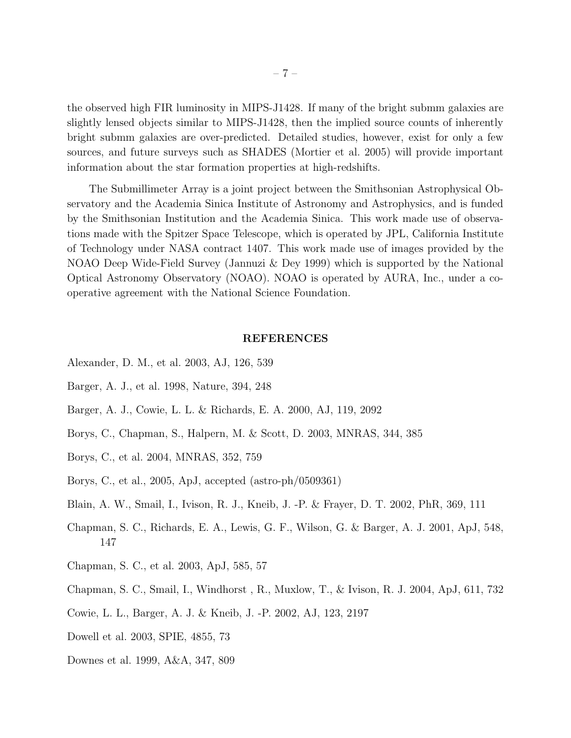the observed high FIR luminosity in MIPS-J1428. If many of the bright submm galaxies are slightly lensed objects similar to MIPS-J1428, then the implied source counts of inherently bright submm galaxies are over-predicted. Detailed studies, however, exist for only a few sources, and future surveys such as SHADES (Mortier et al. 2005) will provide important information about the star formation properties at high-redshifts.

The Submillimeter Array is a joint project between the Smithsonian Astrophysical Observatory and the Academia Sinica Institute of Astronomy and Astrophysics, and is funded by the Smithsonian Institution and the Academia Sinica. This work made use of observations made with the Spitzer Space Telescope, which is operated by JPL, California Institute of Technology under NASA contract 1407. This work made use of images provided by the NOAO Deep Wide-Field Survey (Jannuzi & Dey 1999) which is supported by the National Optical Astronomy Observatory (NOAO). NOAO is operated by AURA, Inc., under a cooperative agreement with the National Science Foundation.

#### REFERENCES

- Alexander, D. M., et al. 2003, AJ, 126, 539
- Barger, A. J., et al. 1998, Nature, 394, 248
- Barger, A. J., Cowie, L. L. & Richards, E. A. 2000, AJ, 119, 2092
- Borys, C., Chapman, S., Halpern, M. & Scott, D. 2003, MNRAS, 344, 385
- Borys, C., et al. 2004, MNRAS, 352, 759
- Borys, C., et al., 2005, ApJ, accepted (astro-ph/0509361)
- Blain, A. W., Smail, I., Ivison, R. J., Kneib, J. -P. & Frayer, D. T. 2002, PhR, 369, 111
- Chapman, S. C., Richards, E. A., Lewis, G. F., Wilson, G. & Barger, A. J. 2001, ApJ, 548, 147
- Chapman, S. C., et al. 2003, ApJ, 585, 57
- Chapman, S. C., Smail, I., Windhorst , R., Muxlow, T., & Ivison, R. J. 2004, ApJ, 611, 732
- Cowie, L. L., Barger, A. J. & Kneib, J. -P. 2002, AJ, 123, 2197
- Dowell et al. 2003, SPIE, 4855, 73
- Downes et al. 1999, A&A, 347, 809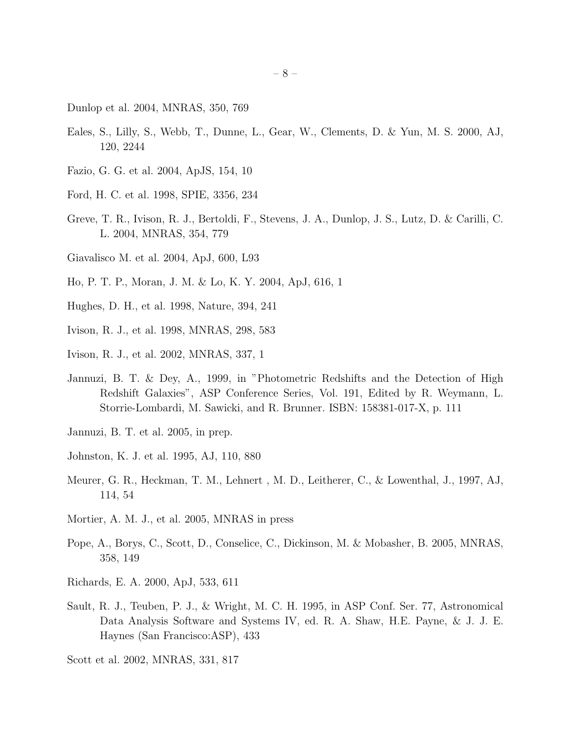Dunlop et al. 2004, MNRAS, 350, 769

- Eales, S., Lilly, S., Webb, T., Dunne, L., Gear, W., Clements, D. & Yun, M. S. 2000, AJ, 120, 2244
- Fazio, G. G. et al. 2004, ApJS, 154, 10
- Ford, H. C. et al. 1998, SPIE, 3356, 234
- Greve, T. R., Ivison, R. J., Bertoldi, F., Stevens, J. A., Dunlop, J. S., Lutz, D. & Carilli, C. L. 2004, MNRAS, 354, 779
- Giavalisco M. et al. 2004, ApJ, 600, L93
- Ho, P. T. P., Moran, J. M. & Lo, K. Y. 2004, ApJ, 616, 1
- Hughes, D. H., et al. 1998, Nature, 394, 241
- Ivison, R. J., et al. 1998, MNRAS, 298, 583
- Ivison, R. J., et al. 2002, MNRAS, 337, 1
- Jannuzi, B. T. & Dey, A., 1999, in "Photometric Redshifts and the Detection of High Redshift Galaxies", ASP Conference Series, Vol. 191, Edited by R. Weymann, L. Storrie-Lombardi, M. Sawicki, and R. Brunner. ISBN: 158381-017-X, p. 111
- Jannuzi, B. T. et al. 2005, in prep.
- Johnston, K. J. et al. 1995, AJ, 110, 880
- Meurer, G. R., Heckman, T. M., Lehnert , M. D., Leitherer, C., & Lowenthal, J., 1997, AJ, 114, 54
- Mortier, A. M. J., et al. 2005, MNRAS in press
- Pope, A., Borys, C., Scott, D., Conselice, C., Dickinson, M. & Mobasher, B. 2005, MNRAS, 358, 149
- Richards, E. A. 2000, ApJ, 533, 611
- Sault, R. J., Teuben, P. J., & Wright, M. C. H. 1995, in ASP Conf. Ser. 77, Astronomical Data Analysis Software and Systems IV, ed. R. A. Shaw, H.E. Payne, & J. J. E. Haynes (San Francisco:ASP), 433

Scott et al. 2002, MNRAS, 331, 817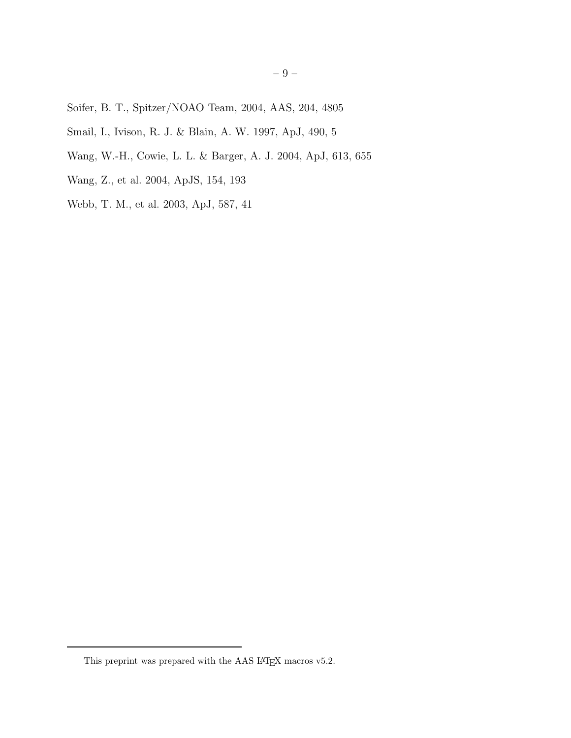- Soifer, B. T., Spitzer/NOAO Team, 2004, AAS, 204, 4805
- Smail, I., Ivison, R. J. & Blain, A. W. 1997, ApJ, 490, 5
- Wang, W.-H., Cowie, L. L. & Barger, A. J. 2004, ApJ, 613, 655
- Wang, Z., et al. 2004, ApJS, 154, 193
- Webb, T. M., et al. 2003, ApJ, 587, 41

This preprint was prepared with the AAS  $\rm \emph{L4}$  macros v5.2.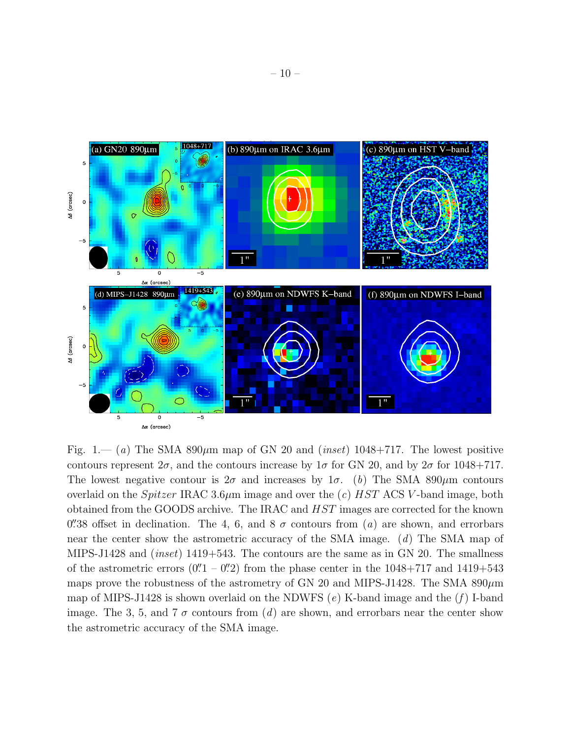

Fig. 1.— (a) The SMA 890 $\mu$ m map of GN 20 and (inset) 1048+717. The lowest positive contours represent  $2\sigma$ , and the contours increase by  $1\sigma$  for GN 20, and by  $2\sigma$  for 1048+717. The lowest negative contour is  $2\sigma$  and increases by  $1\sigma$ . (b) The SMA 890 $\mu$ m contours overlaid on the *Spitzer* IRAC 3.6 $\mu$ m image and over the (c) HST ACS V-band image, both obtained from the GOODS archive. The IRAC and HST images are corrected for the known 0'38 offset in declination. The 4, 6, and 8  $\sigma$  contours from (a) are shown, and errorbars near the center show the astrometric accuracy of the SMA image. (d) The SMA map of MIPS-J1428 and (inset) 1419+543. The contours are the same as in GN 20. The smallness of the astrometric errors  $(0''1 - 0''2)$  from the phase center in the  $1048+717$  and  $1419+543$ maps prove the robustness of the astrometry of GN 20 and MIPS-J1428. The SMA  $890\mu$ m map of MIPS-J1428 is shown overlaid on the NDWFS  $(e)$  K-band image and the  $(f)$  I-band image. The 3, 5, and 7  $\sigma$  contours from (d) are shown, and errorbars near the center show the astrometric accuracy of the SMA image.